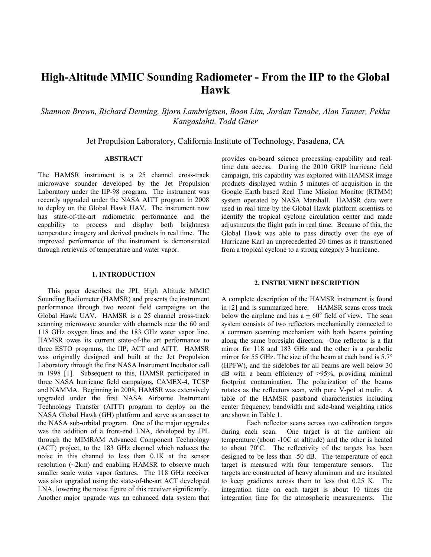# **High-Altitude MMIC Sounding Radiometer - From the IIP to the Global Hawk**

*Shannon Brown, Richard Denning, Bjorn Lambrigtsen, Boon Lim, Jordan Tanabe, Alan Tanner, Pekka Kangaslahti, Todd Gaier*

Jet Propulsion Laboratory, California Institute of Technology, Pasadena, CA

## **ABSTRACT**

The HAMSR instrument is a 25 channel cross-track microwave sounder developed by the Jet Propulsion Laboratory under the IIP-98 program. The instrument was recently upgraded under the NASA AITT program in 2008 to deploy on the Global Hawk UAV. The instrument now has state-of-the-art radiometric performance and the capability to process and display both brightness temperature imagery and derived products in real time. The improved performance of the instrument is demonstrated through retrievals of temperature and water vapor.

#### **1. INTRODUCTION**

This paper describes the JPL High Altitude MMIC Sounding Radiometer (HAMSR) and presents the instrument performance through two recent field campaigns on the Global Hawk UAV. HAMSR is a 25 channel cross-track scanning microwave sounder with channels near the 60 and 118 GHz oxygen lines and the 183 GHz water vapor line. HAMSR owes its current state-of-the art performance to three ESTO programs, the IIP, ACT and AITT. HAMSR was originally designed and built at the Jet Propulsion Laboratory through the first NASA Instrument Incubator call in 1998 [1]. Subsequent to this, HAMSR participated in three NASA hurricane field campaigns, CAMEX-4, TCSP and NAMMA. Beginning in 2008, HAMSR was extensively upgraded under the first NASA Airborne Instrument Technology Transfer (AITT) program to deploy on the NASA Global Hawk (GH) platform and serve as an asset to the NASA sub-orbital program. One of the major upgrades was the addition of a front-end LNA, developed by JPL through the MIMRAM Advanced Component Technology (ACT) project, to the 183 GHz channel which reduces the noise in this channel to less than 0.1K at the sensor resolution (~2km) and enabling HAMSR to observe much smaller scale water vapor features. The 118 GHz receiver was also upgraded using the state-of-the-art ACT developed LNA, lowering the noise figure of this receiver significantly. Another major upgrade was an enhanced data system that

provides on-board science processing capability and realtime data access. During the 2010 GRIP hurricane field campaign, this capability was exploited with HAMSR image products displayed within 5 minutes of acquisition in the Google Earth based Real Time Mission Monitor (RTMM) system operated by NASA Marshall. HAMSR data were used in real time by the Global Hawk platform scientists to identify the tropical cyclone circulation center and made adjustments the flight path in real time. Because of this, the Global Hawk was able to pass directly over the eye of Hurricane Karl an unprecedented 20 times as it transitioned from a tropical cyclone to a strong category 3 hurricane.

#### **2. INSTRUMENT DESCRIPTION**

A complete description of the HAMSR instrument is found in [2] and is summarized here. HAMSR scans cross track below the airplane and has  $a + 60^{\circ}$  field of view. The scan system consists of two reflectors mechanically connected to a common scanning mechanism with both beams pointing along the same boresight direction. One reflector is a flat mirror for 118 and 183 GHz and the other is a parabolic mirror for 55 GHz. The size of the beam at each band is 5.7° (HPFW), and the sidelobes for all beams are well below 30 dB with a beam efficiency of >95%, providing minimal footprint contamination. The polarization of the beams rotates as the reflectors scan, with pure V-pol at nadir. A table of the HAMSR passband characteristics including center frequency, bandwidth and side-band weighting ratios are shown in Table 1.

Each reflector scans across two calibration targets during each scan. One target is at the ambient air temperature (about -10C at altitude) and the other is heated to about  $70^{\circ}$ C. The reflectivity of the targets has been designed to be less than -50 dB. The temperature of each target is measured with four temperature sensors. The targets are constructed of heavy aluminum and are insulated to keep gradients across them to less that 0.25 K. The integration time on each target is about 10 times the integration time for the atmospheric measurements. The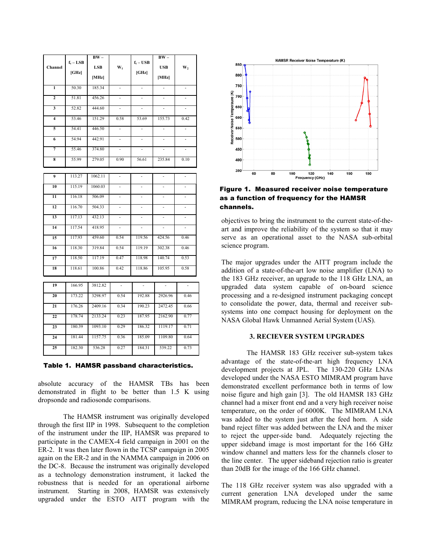| <b>LSB</b><br>Channel<br>$W_1$<br><b>USB</b><br>W <sub>2</sub><br>[GHz]<br>[GHz]<br>[MHz]<br>[MHz]<br>50.30<br>185.34<br>$\mathbf{1}$<br>$\overline{\phantom{a}}$<br>$\overline{\phantom{0}}$<br>$\overline{2}$<br>51.81<br>456.26<br>$\qquad \qquad \blacksquare$<br>$\overline{\phantom{0}}$<br>3<br>52.82<br>444.60<br>53.46<br>151.29<br>$\overline{\mathbf{4}}$<br>0.58<br>53.69<br>155.73<br>0.42<br>54.41<br>446.50<br>5<br>$\overline{a}$<br>$\overline{a}$<br>$\overline{a}$<br>54.94<br>442.91<br>6<br>$\overline{a}$<br>L,<br>Ĭ.<br>$\overline{a}$<br>55.46<br>374.80<br>7<br>55.99<br>279.05<br>8<br>0.90<br>56.61<br>235.84<br>0.10<br>113.27<br>1062.11<br>9<br>L,<br>$\overline{\phantom{a}}$<br>÷,<br>÷,<br>10<br>115.19<br>1060.03<br>$\overline{a}$<br>$\overline{a}$<br>$\overline{a}$<br>11<br>116.18<br>506.09<br>L,<br>L,<br>$\frac{1}{2}$<br>12<br>116.70<br>504.33<br>$\overline{\phantom{0}}$<br>$\overline{\phantom{a}}$<br>$\overline{\phantom{a}}$<br>13<br>117.13<br>432.13<br>$\overline{a}$<br>÷,<br>14<br>117.54<br>418.95<br>$\overline{a}$<br>$\overline{\phantom{a}}$<br>$\overline{\phantom{a}}$<br>117.93<br>459.60<br>0.54<br>119.56<br>424.56<br>0.46<br>15<br>118.30<br>319.84<br>0.54<br>119.19<br>302.38<br>0.46<br>16<br>118.50<br>117.19<br>0.47<br>140.74<br>0.53<br>17<br>118.98<br>18<br>118.61<br>100.86<br>0.42<br>118.86<br>105.95<br>0.58<br>19<br>166.95<br>3812.82<br>÷,<br>$\frac{1}{2}$<br>÷<br>173.22<br>3298.97<br>0.54<br>192.88<br>2926.96<br>0.46<br>20<br>176.26<br>2409.16<br>0.34<br>190.23<br>2472.45<br>0.66<br>21<br>178.74<br>2133.24<br>0.23<br>187.95<br>2162.90<br>0.77<br>22<br>180.39<br>1093.10<br>23<br>0.29<br>186.32<br>1119.17<br>0.71<br>181.44<br>1157.75<br>185.09<br>1109.80<br>0.64<br>24<br>0.36<br>25<br>182.30<br>536.28<br>0.27<br>184.31<br>539.22<br>0.73 |             | $BW -$ |                               | $BW -$ |  |
|---------------------------------------------------------------------------------------------------------------------------------------------------------------------------------------------------------------------------------------------------------------------------------------------------------------------------------------------------------------------------------------------------------------------------------------------------------------------------------------------------------------------------------------------------------------------------------------------------------------------------------------------------------------------------------------------------------------------------------------------------------------------------------------------------------------------------------------------------------------------------------------------------------------------------------------------------------------------------------------------------------------------------------------------------------------------------------------------------------------------------------------------------------------------------------------------------------------------------------------------------------------------------------------------------------------------------------------------------------------------------------------------------------------------------------------------------------------------------------------------------------------------------------------------------------------------------------------------------------------------------------------------------------------------------------------------------------------------------------------------------------------------------------------------------------------------------------------------------|-------------|--------|-------------------------------|--------|--|
|                                                                                                                                                                                                                                                                                                                                                                                                                                                                                                                                                                                                                                                                                                                                                                                                                                                                                                                                                                                                                                                                                                                                                                                                                                                                                                                                                                                                                                                                                                                                                                                                                                                                                                                                                                                                                                                   | $f_c - LSB$ |        | $\mathbf{f_c} - \mathbf{USB}$ |        |  |
|                                                                                                                                                                                                                                                                                                                                                                                                                                                                                                                                                                                                                                                                                                                                                                                                                                                                                                                                                                                                                                                                                                                                                                                                                                                                                                                                                                                                                                                                                                                                                                                                                                                                                                                                                                                                                                                   |             |        |                               |        |  |
|                                                                                                                                                                                                                                                                                                                                                                                                                                                                                                                                                                                                                                                                                                                                                                                                                                                                                                                                                                                                                                                                                                                                                                                                                                                                                                                                                                                                                                                                                                                                                                                                                                                                                                                                                                                                                                                   |             |        |                               |        |  |
|                                                                                                                                                                                                                                                                                                                                                                                                                                                                                                                                                                                                                                                                                                                                                                                                                                                                                                                                                                                                                                                                                                                                                                                                                                                                                                                                                                                                                                                                                                                                                                                                                                                                                                                                                                                                                                                   |             |        |                               |        |  |
|                                                                                                                                                                                                                                                                                                                                                                                                                                                                                                                                                                                                                                                                                                                                                                                                                                                                                                                                                                                                                                                                                                                                                                                                                                                                                                                                                                                                                                                                                                                                                                                                                                                                                                                                                                                                                                                   |             |        |                               |        |  |
|                                                                                                                                                                                                                                                                                                                                                                                                                                                                                                                                                                                                                                                                                                                                                                                                                                                                                                                                                                                                                                                                                                                                                                                                                                                                                                                                                                                                                                                                                                                                                                                                                                                                                                                                                                                                                                                   |             |        |                               |        |  |
|                                                                                                                                                                                                                                                                                                                                                                                                                                                                                                                                                                                                                                                                                                                                                                                                                                                                                                                                                                                                                                                                                                                                                                                                                                                                                                                                                                                                                                                                                                                                                                                                                                                                                                                                                                                                                                                   |             |        |                               |        |  |
|                                                                                                                                                                                                                                                                                                                                                                                                                                                                                                                                                                                                                                                                                                                                                                                                                                                                                                                                                                                                                                                                                                                                                                                                                                                                                                                                                                                                                                                                                                                                                                                                                                                                                                                                                                                                                                                   |             |        |                               |        |  |
|                                                                                                                                                                                                                                                                                                                                                                                                                                                                                                                                                                                                                                                                                                                                                                                                                                                                                                                                                                                                                                                                                                                                                                                                                                                                                                                                                                                                                                                                                                                                                                                                                                                                                                                                                                                                                                                   |             |        |                               |        |  |
|                                                                                                                                                                                                                                                                                                                                                                                                                                                                                                                                                                                                                                                                                                                                                                                                                                                                                                                                                                                                                                                                                                                                                                                                                                                                                                                                                                                                                                                                                                                                                                                                                                                                                                                                                                                                                                                   |             |        |                               |        |  |
|                                                                                                                                                                                                                                                                                                                                                                                                                                                                                                                                                                                                                                                                                                                                                                                                                                                                                                                                                                                                                                                                                                                                                                                                                                                                                                                                                                                                                                                                                                                                                                                                                                                                                                                                                                                                                                                   |             |        |                               |        |  |
|                                                                                                                                                                                                                                                                                                                                                                                                                                                                                                                                                                                                                                                                                                                                                                                                                                                                                                                                                                                                                                                                                                                                                                                                                                                                                                                                                                                                                                                                                                                                                                                                                                                                                                                                                                                                                                                   |             |        |                               |        |  |
|                                                                                                                                                                                                                                                                                                                                                                                                                                                                                                                                                                                                                                                                                                                                                                                                                                                                                                                                                                                                                                                                                                                                                                                                                                                                                                                                                                                                                                                                                                                                                                                                                                                                                                                                                                                                                                                   |             |        |                               |        |  |
|                                                                                                                                                                                                                                                                                                                                                                                                                                                                                                                                                                                                                                                                                                                                                                                                                                                                                                                                                                                                                                                                                                                                                                                                                                                                                                                                                                                                                                                                                                                                                                                                                                                                                                                                                                                                                                                   |             |        |                               |        |  |
|                                                                                                                                                                                                                                                                                                                                                                                                                                                                                                                                                                                                                                                                                                                                                                                                                                                                                                                                                                                                                                                                                                                                                                                                                                                                                                                                                                                                                                                                                                                                                                                                                                                                                                                                                                                                                                                   |             |        |                               |        |  |
|                                                                                                                                                                                                                                                                                                                                                                                                                                                                                                                                                                                                                                                                                                                                                                                                                                                                                                                                                                                                                                                                                                                                                                                                                                                                                                                                                                                                                                                                                                                                                                                                                                                                                                                                                                                                                                                   |             |        |                               |        |  |
|                                                                                                                                                                                                                                                                                                                                                                                                                                                                                                                                                                                                                                                                                                                                                                                                                                                                                                                                                                                                                                                                                                                                                                                                                                                                                                                                                                                                                                                                                                                                                                                                                                                                                                                                                                                                                                                   |             |        |                               |        |  |
|                                                                                                                                                                                                                                                                                                                                                                                                                                                                                                                                                                                                                                                                                                                                                                                                                                                                                                                                                                                                                                                                                                                                                                                                                                                                                                                                                                                                                                                                                                                                                                                                                                                                                                                                                                                                                                                   |             |        |                               |        |  |
|                                                                                                                                                                                                                                                                                                                                                                                                                                                                                                                                                                                                                                                                                                                                                                                                                                                                                                                                                                                                                                                                                                                                                                                                                                                                                                                                                                                                                                                                                                                                                                                                                                                                                                                                                                                                                                                   |             |        |                               |        |  |
|                                                                                                                                                                                                                                                                                                                                                                                                                                                                                                                                                                                                                                                                                                                                                                                                                                                                                                                                                                                                                                                                                                                                                                                                                                                                                                                                                                                                                                                                                                                                                                                                                                                                                                                                                                                                                                                   |             |        |                               |        |  |
|                                                                                                                                                                                                                                                                                                                                                                                                                                                                                                                                                                                                                                                                                                                                                                                                                                                                                                                                                                                                                                                                                                                                                                                                                                                                                                                                                                                                                                                                                                                                                                                                                                                                                                                                                                                                                                                   |             |        |                               |        |  |
|                                                                                                                                                                                                                                                                                                                                                                                                                                                                                                                                                                                                                                                                                                                                                                                                                                                                                                                                                                                                                                                                                                                                                                                                                                                                                                                                                                                                                                                                                                                                                                                                                                                                                                                                                                                                                                                   |             |        |                               |        |  |
|                                                                                                                                                                                                                                                                                                                                                                                                                                                                                                                                                                                                                                                                                                                                                                                                                                                                                                                                                                                                                                                                                                                                                                                                                                                                                                                                                                                                                                                                                                                                                                                                                                                                                                                                                                                                                                                   |             |        |                               |        |  |
|                                                                                                                                                                                                                                                                                                                                                                                                                                                                                                                                                                                                                                                                                                                                                                                                                                                                                                                                                                                                                                                                                                                                                                                                                                                                                                                                                                                                                                                                                                                                                                                                                                                                                                                                                                                                                                                   |             |        |                               |        |  |
|                                                                                                                                                                                                                                                                                                                                                                                                                                                                                                                                                                                                                                                                                                                                                                                                                                                                                                                                                                                                                                                                                                                                                                                                                                                                                                                                                                                                                                                                                                                                                                                                                                                                                                                                                                                                                                                   |             |        |                               |        |  |
|                                                                                                                                                                                                                                                                                                                                                                                                                                                                                                                                                                                                                                                                                                                                                                                                                                                                                                                                                                                                                                                                                                                                                                                                                                                                                                                                                                                                                                                                                                                                                                                                                                                                                                                                                                                                                                                   |             |        |                               |        |  |
|                                                                                                                                                                                                                                                                                                                                                                                                                                                                                                                                                                                                                                                                                                                                                                                                                                                                                                                                                                                                                                                                                                                                                                                                                                                                                                                                                                                                                                                                                                                                                                                                                                                                                                                                                                                                                                                   |             |        |                               |        |  |
|                                                                                                                                                                                                                                                                                                                                                                                                                                                                                                                                                                                                                                                                                                                                                                                                                                                                                                                                                                                                                                                                                                                                                                                                                                                                                                                                                                                                                                                                                                                                                                                                                                                                                                                                                                                                                                                   |             |        |                               |        |  |

Table 1. HAMSR passband characteristics.

absolute accuracy of the HAMSR TBs has been demonstrated in flight to be better than 1.5 K using dropsonde and radiosonde comparisons.

The HAMSR instrument was originally developed through the first IIP in 1998. Subsequent to the completion of the instrument under the IIP, HAMSR was prepared to participate in the CAMEX-4 field campaign in 2001 on the ER-2. It was then later flown in the TCSP campaign in 2005 again on the ER-2 and in the NAMMA campaign in 2006 on the DC-8. Because the instrument was originally developed as a technology demonstration instrument, it lacked the robustness that is needed for an operational airborne instrument. Starting in 2008, HAMSR was extensively upgraded under the ESTO AITT program with the



Figure 1. Measured receiver noise temperature as a function of frequency for the HAMSR channels.

objectives to bring the instrument to the current state-of-theart and improve the reliability of the system so that it may serve as an operational asset to the NASA sub-orbital science program.

The major upgrades under the AITT program include the addition of a state-of-the-art low noise amplifier (LNA) to the 183 GHz receiver, an upgrade to the 118 GHz LNA, an upgraded data system capable of on-board science processing and a re-designed instrument packaging concept to consolidate the power, data, thermal and receiver subsystems into one compact housing for deployment on the NASA Global Hawk Unmanned Aerial System (UAS).

# **3. RECIEVER SYSTEM UPGRADES**

The HAMSR 183 GHz receiver sub-system takes advantage of the state-of-the-art high frequency LNA development projects at JPL. The 130-220 GHz LNAs developed under the NASA ESTO MIMRAM program have demonstrated excellent performance both in terms of low noise figure and high gain [3]. The old HAMSR 183 GHz channel had a mixer front end and a very high receiver noise temperature, on the order of 6000K. The MIMRAM LNA was added to the system just after the feed horn. A side band reject filter was added between the LNA and the mixer to reject the upper-side band. Adequately rejecting the upper sideband image is most important for the 166 GHz window channel and matters less for the channels closer to the line center. The upper sideband rejection ratio is greater than 20dB for the image of the 166 GHz channel.

The 118 GHz receiver system was also upgraded with a current generation LNA developed under the same MIMRAM program, reducing the LNA noise temperature in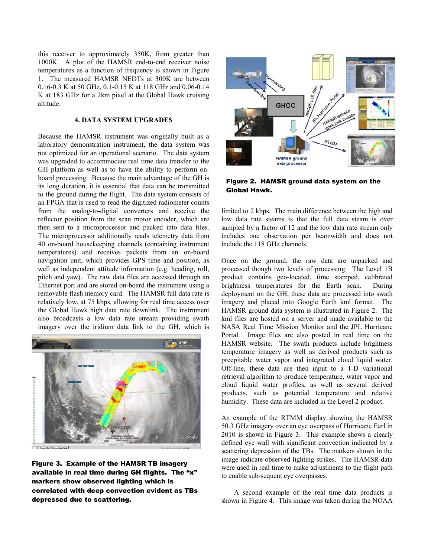this receiver to approximately 350K, from greater than 1000K. A plot of the HAMSR end-to-end receiver noise temperatures as a function of frequency is shown in Figure 1. The measured HAMSR NEDTs at 300K are between 0.16-0.3 K at 50 GHz, 0.1-0.15 K at 118 GHz and 0.06-0.14 K at 183 GHz for a 2km pixel at the Global Hawk cruising altitude.

## **4. DATA SYSTEM UPGRADES**

Because the HAMSR instrument was originally built as a laboratory demonstration instrument, the data system was not optimized for an operational scenario. The data system was upgraded to accommodate real time data transfer to the GH platform as well as to have the ability to perform onboard processing. Because the main advantage of the GH is its long duration, it is essential that data can be transmitted to the ground during the flight. The data system consists of an FPGA that is used to read the digitized radiometer counts from the analog-to-digital converters and receive the reflector position from the scan motor encoder, which are then sent to a microprocessor and packed into data files. The microprocessor additionally reads telemetry data from 40 on-board housekeeping channels (containing instrument temperatures) and receives packets from an on-board navigation unit, which provides GPS time and position, as well as independent attitude information (e.g. heading, roll, pitch and yaw). The raw data files are accessed through an Ethernet port and are stored on-board the instrument using a removable flash memory card. The HAMSR full data rate is relatively low, at 75 kbps, allowing for real time access over the Global Hawk high data rate downlink. The instrument also broadcasts a low data rate stream providing swath imagery over the iridium data link to the GH, which is



Figure 3. Example of the HAMSR TB imagery available in real time during GH flights. The "x" markers show observed lighting which is correlated with deep convection evident as TBs depressed due to scattering.



Figure 2. HAMSR ground data system on the Global Hawk.

limited to 2 kbps. The main difference between the high and low data rate steams is that the full data steam is over sampled by a factor of 12 and the low data rate stream only includes one observation per beamwidth and does not include the 118 GHz channels.

Once on the ground, the raw data are unpacked and processed though two levels of processing. The Level 1B product contains geo-located, time stamped, calibrated brightness temperatures for the Earth scan. During deployment on the GH, these data are processed into swath imagery and placed into Google Earth kml format. The HAMSR ground data system is illustrated in Figure 2. The kml files are hosted on a server and made available to the NASA Real Time Mission Monitor and the JPL Hurricane Portal. Image files are also posted in real time on the HAMSR website. The swath products include brightness temperature imagery as well as derived products such as precpitable water vapor and integrated cloud liquid water. Off-line, these data are then input to a 1-D variational retrieval algorithm to produce temperature, water vapor and cloud liquid water profiles, as well as several derived products, such as potential temperature and relative humidity. These data are included in the Level 2 product.

An example of the RTMM display showing the HAMSR 50.3 GHz imagery over an eye overpass of Hurricane Earl in 2010 is shown in Figure 3. This example shows a clearly defined eye wall with significant convection indicated by a scattering depression of the TBs. The markers shown in the image indicate observed lighting strikes. The HAMSR data were used in real time to make adjustments to the flight path to enable sub-sequent eye overpasses.

A second example of the real time data products is shown in Figure 4. This image was taken during the NOAA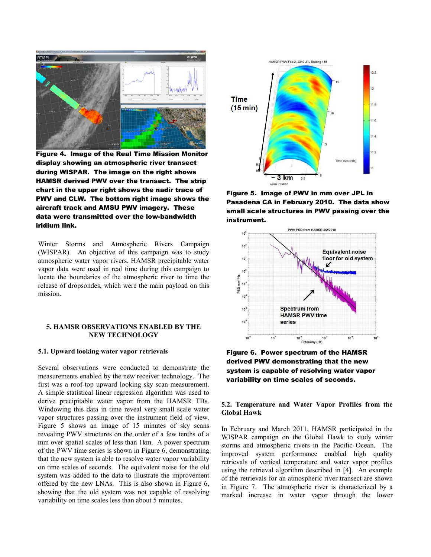

Figure 4. Image of the Real Time Mission Monitor display showing an atmospheric river transect during WISPAR. The image on the right shows HAMSR derived PWV over the transect. The strip chart in the upper right shows the nadir trace of PWV and CLW. The bottom right image shows the aircraft track and AMSU PWV imagery. These data were transmitted over the low-bandwidth iridium link.

Winter Storms and Atmospheric Rivers Campaign (WISPAR). An objective of this campaign was to study atmospheric water vapor rivers. HAMSR precipitable water vapor data were used in real time during this campaign to locate the boundaries of the atmospheric river to time the release of dropsondes, which were the main payload on this mission.

## **5. HAMSR OBSERVATIONS ENABLED BY THE NEW TECHNOLOGY**

## **5.1. Upward looking water vapor retrievals**

Several observations were conducted to demonstrate the measurements enabled by the new receiver technology. The first was a roof-top upward looking sky scan measurement. A simple statistical linear regression algorithm was used to derive precipitable water vapor from the HAMSR TBs. Windowing this data in time reveal very small scale water vapor structures passing over the instrument field of view. Figure 5 shows an image of 15 minutes of sky scans revealing PWV structures on the order of a few tenths of a mm over spatial scales of less than 1km. A power spectrum of the PWV time series is shown in Figure 6, demonstrating that the new system is able to resolve water vapor variability on time scales of seconds. The equivalent noise for the old system was added to the data to illustrate the improvement offered by the new LNAs. This is also shown in Figure 6, showing that the old system was not capable of resolving variability on time scales less than about 5 minutes.



Figure 5. Image of PWV in mm over JPL in Pasadena CA in February 2010. The data show small scale structures in PWV passing over the instrument.



Figure 6. Power spectrum of the HAMSR derived PWV demonstrating that the new system is capable of resolving water vapor variability on time scales of seconds.

## **5.2. Temperature and Water Vapor Profiles from the Global Hawk**

In February and March 2011, HAMSR participated in the WISPAR campaign on the Global Hawk to study winter storms and atmospheric rivers in the Pacific Ocean. The improved system performance enabled high quality retrievals of vertical temperature and water vapor profiles using the retrieval algorithm described in [4]. An example of the retrievals for an atmospheric river transect are shown in Figure 7. The atmospheric river is characterized by a marked increase in water vapor through the lower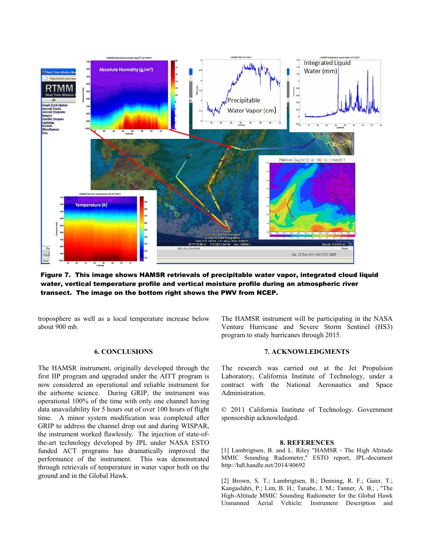

Figure 7. This image shows HAMSR retrievals of precipitable water vapor, integrated cloud liquid water, vertical temperature profile and vertical moisture profile during an atmospheric river transect. The image on the bottom right shows the PWV from NCEP.

troposphere as well as a local temperature increase below about 900 mb.

#### **6. CONCLUSIONS**

The HAMSR instrument, originally developed through the first IIP program and upgraded under the AITT program is now considered an operational and reliable instrument for the airborne science. During GRIP, the instrument was operational 100% of the time with only one channel having data unavailability for 5 hours out of over 100 hours of flight time. A minor system modification was completed after GRIP to address the channel drop out and during WISPAR, the instrument worked flawlessly. The injection of state-ofthe-art technology developed by JPL under NASA ESTO funded ACT programs has dramatically improved the performance of the instrument. This was demonstrated through retrievals of temperature in water vapor both on the ground and in the Global Hawk.

The HAMSR instrument will be participating in the NASA Venture Hurricane and Severe Storm Sentinel (HS3) program to study hurricanes through 2015.

#### **7. ACKNOWLEDGMENTS**

The research was carried out at the Jet Propulsion Laboratory, California Institute of Technology, under a contract with the National Aeronautics and Space Administration.

© 2011 California Institute of Technology. Government sponsorship acknowledged.

#### **8. REFERENCES**

[1] Lambrigtsen, B. and L. Riley "HAMSR - The High Altitude MMIC Sounding Radiometer," ESTO report, JPL-document http://hdl.handle.net/2014/40692

[2] Brown, S. T.; Lambrigtsen, B.; Denning, R. F.; Gaier, T.; Kangaslahti, P.; Lim, B. H.; Tanabe, J. M.; Tanner, A. B.; , "The High-Altitude MMIC Sounding Radiometer for the Global Hawk Unmanned Aerial Vehicle: Instrument Description and